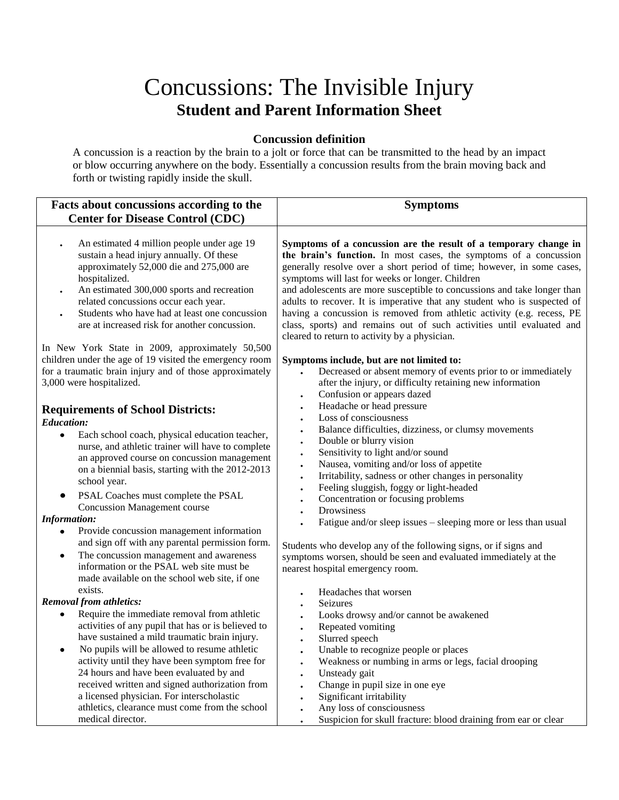## Concussions: The Invisible Injury **Student and Parent Information Sheet**

## **Concussion definition**

A concussion is a reaction by the brain to a jolt or force that can be transmitted to the head by an impact or blow occurring anywhere on the body. Essentially a concussion results from the brain moving back and forth or twisting rapidly inside the skull.

| Facts about concussions according to the                                                                                                                                                                                                                                                                                                                                                                                                                                                                                                                                                                                                                                         | <b>Symptoms</b>                                                                                                                                                                                                                                                                                                                                                                                                                                                                                                                                                                                                                                        |
|----------------------------------------------------------------------------------------------------------------------------------------------------------------------------------------------------------------------------------------------------------------------------------------------------------------------------------------------------------------------------------------------------------------------------------------------------------------------------------------------------------------------------------------------------------------------------------------------------------------------------------------------------------------------------------|--------------------------------------------------------------------------------------------------------------------------------------------------------------------------------------------------------------------------------------------------------------------------------------------------------------------------------------------------------------------------------------------------------------------------------------------------------------------------------------------------------------------------------------------------------------------------------------------------------------------------------------------------------|
| <b>Center for Disease Control (CDC)</b>                                                                                                                                                                                                                                                                                                                                                                                                                                                                                                                                                                                                                                          |                                                                                                                                                                                                                                                                                                                                                                                                                                                                                                                                                                                                                                                        |
| An estimated 4 million people under age 19<br>sustain a head injury annually. Of these<br>approximately 52,000 die and 275,000 are<br>hospitalized.<br>An estimated 300,000 sports and recreation<br>related concussions occur each year.                                                                                                                                                                                                                                                                                                                                                                                                                                        | Symptoms of a concussion are the result of a temporary change in<br>the brain's function. In most cases, the symptoms of a concussion<br>generally resolve over a short period of time; however, in some cases,<br>symptoms will last for weeks or longer. Children<br>and adolescents are more susceptible to concussions and take longer than<br>adults to recover. It is imperative that any student who is suspected of                                                                                                                                                                                                                            |
| Students who have had at least one concussion<br>are at increased risk for another concussion.                                                                                                                                                                                                                                                                                                                                                                                                                                                                                                                                                                                   | having a concussion is removed from athletic activity (e.g. recess, PE<br>class, sports) and remains out of such activities until evaluated and<br>cleared to return to activity by a physician.                                                                                                                                                                                                                                                                                                                                                                                                                                                       |
| In New York State in 2009, approximately 50,500<br>children under the age of 19 visited the emergency room<br>for a traumatic brain injury and of those approximately<br>3,000 were hospitalized.                                                                                                                                                                                                                                                                                                                                                                                                                                                                                | Symptoms include, but are not limited to:<br>Decreased or absent memory of events prior to or immediately<br>after the injury, or difficulty retaining new information<br>Confusion or appears dazed<br>$\bullet$                                                                                                                                                                                                                                                                                                                                                                                                                                      |
| <b>Requirements of School Districts:</b><br><b>Education:</b><br>Each school coach, physical education teacher,<br>$\bullet$<br>nurse, and athletic trainer will have to complete<br>an approved course on concussion management<br>on a biennial basis, starting with the 2012-2013<br>school year.<br>PSAL Coaches must complete the PSAL<br>٠<br><b>Concussion Management course</b><br><b>Information:</b><br>Provide concussion management information<br>$\bullet$<br>and sign off with any parental permission form.<br>The concussion management and awareness<br>$\bullet$<br>information or the PSAL web site must be<br>made available on the school web site, if one | Headache or head pressure<br>Loss of consciousness<br>Balance difficulties, dizziness, or clumsy movements<br>Double or blurry vision<br>Sensitivity to light and/or sound<br>$\bullet$<br>Nausea, vomiting and/or loss of appetite<br>Irritability, sadness or other changes in personality<br>$\bullet$<br>Feeling sluggish, foggy or light-headed<br>Concentration or focusing problems<br>Drowsiness<br>Fatigue and/or sleep issues – sleeping more or less than usual<br>Students who develop any of the following signs, or if signs and<br>symptoms worsen, should be seen and evaluated immediately at the<br>nearest hospital emergency room. |
| exists.<br><b>Removal from athletics:</b><br>Require the immediate removal from athletic<br>$\bullet$<br>activities of any pupil that has or is believed to<br>have sustained a mild traumatic brain injury.<br>No pupils will be allowed to resume athletic<br>$\bullet$<br>activity until they have been symptom free for<br>24 hours and have been evaluated by and<br>received written and signed authorization from<br>a licensed physician. For interscholastic<br>athletics, clearance must come from the school<br>medical director.                                                                                                                                     | Headaches that worsen<br>Seizures<br>Looks drowsy and/or cannot be awakened<br>Repeated vomiting<br>Slurred speech<br>$\bullet$<br>Unable to recognize people or places<br>$\bullet$<br>Weakness or numbing in arms or legs, facial drooping<br>Unsteady gait<br>$\bullet$<br>Change in pupil size in one eye<br>Significant irritability<br>Any loss of consciousness<br>Suspicion for skull fracture: blood draining from ear or clear                                                                                                                                                                                                               |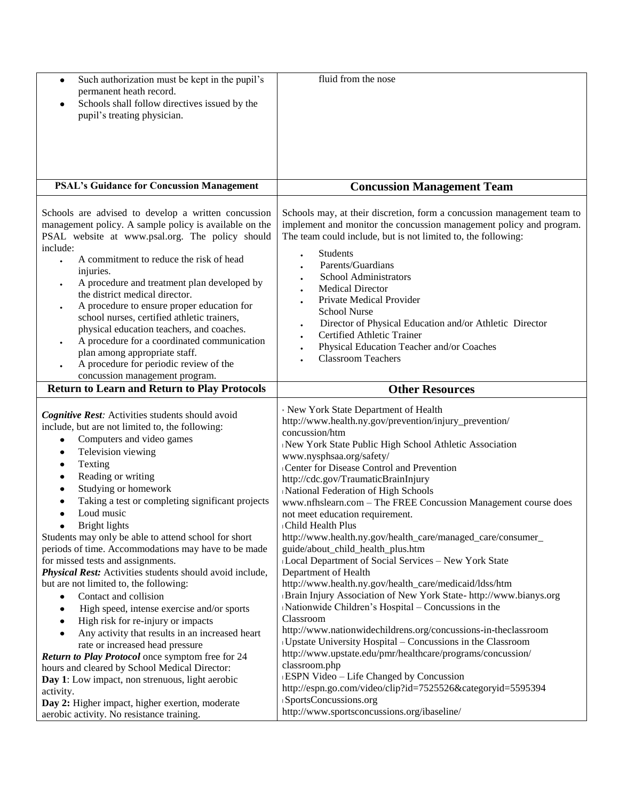| Such authorization must be kept in the pupil's<br>$\bullet$<br>permanent heath record.                    | fluid from the nose                                                    |
|-----------------------------------------------------------------------------------------------------------|------------------------------------------------------------------------|
| Schools shall follow directives issued by the                                                             |                                                                        |
| pupil's treating physician.                                                                               |                                                                        |
|                                                                                                           |                                                                        |
|                                                                                                           |                                                                        |
|                                                                                                           |                                                                        |
|                                                                                                           |                                                                        |
| <b>PSAL's Guidance for Concussion Management</b>                                                          |                                                                        |
|                                                                                                           | <b>Concussion Management Team</b>                                      |
|                                                                                                           |                                                                        |
| Schools are advised to develop a written concussion                                                       | Schools may, at their discretion, form a concussion management team to |
| management policy. A sample policy is available on the<br>PSAL website at www.psal.org. The policy should | implement and monitor the concussion management policy and program.    |
| include:                                                                                                  | The team could include, but is not limited to, the following:          |
| A commitment to reduce the risk of head                                                                   | Students                                                               |
| injuries.                                                                                                 | Parents/Guardians                                                      |
| A procedure and treatment plan developed by                                                               | School Administrators                                                  |
| the district medical director.                                                                            | <b>Medical Director</b>                                                |
| A procedure to ensure proper education for                                                                | Private Medical Provider                                               |
| school nurses, certified athletic trainers,                                                               | <b>School Nurse</b>                                                    |
| physical education teachers, and coaches.                                                                 | Director of Physical Education and/or Athletic Director                |
| A procedure for a coordinated communication                                                               | Certified Athletic Trainer                                             |
| plan among appropriate staff.                                                                             | Physical Education Teacher and/or Coaches                              |
| A procedure for periodic review of the                                                                    | <b>Classroom Teachers</b>                                              |
| concussion management program.                                                                            |                                                                        |
| <b>Return to Learn and Return to Play Protocols</b>                                                       | <b>Other Resources</b>                                                 |
|                                                                                                           |                                                                        |
| Cognitive Rest: Activities students should avoid                                                          | · New York State Department of Health                                  |
| include, but are not limited to, the following:                                                           | http://www.health.ny.gov/prevention/injury_prevention/                 |
| Computers and video games                                                                                 | concussion/htm                                                         |
| Television viewing                                                                                        | New York State Public High School Athletic Association                 |
| Texting                                                                                                   | www.nysphsaa.org/safety/<br>Center for Disease Control and Prevention  |
| Reading or writing                                                                                        | http://cdc.gov/TraumaticBrainInjury                                    |
| Studying or homework                                                                                      | National Federation of High Schools                                    |
| Taking a test or completing significant projects                                                          | www.nfhslearn.com - The FREE Concussion Management course does         |
| Loud music<br>$\bullet$                                                                                   | not meet education requirement.                                        |
| Bright lights<br>٠                                                                                        | Child Health Plus                                                      |
| Students may only be able to attend school for short                                                      | http://www.health.ny.gov/health_care/managed_care/consumer_            |
| periods of time. Accommodations may have to be made                                                       | guide/about_child_health_plus.htm                                      |
| for missed tests and assignments.                                                                         | Local Department of Social Services - New York State                   |
| Physical Rest: Activities students should avoid include,                                                  | Department of Health                                                   |
| but are not limited to, the following:                                                                    | http://www.health.ny.gov/health_care/medicaid/ldss/htm                 |
| Contact and collision                                                                                     | Brain Injury Association of New York State- http://www.bianys.org      |
| High speed, intense exercise and/or sports                                                                | Nationwide Children's Hospital – Concussions in the                    |
| High risk for re-injury or impacts                                                                        |                                                                        |
|                                                                                                           | Classroom                                                              |
| Any activity that results in an increased heart                                                           | http://www.nationwidechildrens.org/concussions-in-theclassroom         |
| rate or increased head pressure                                                                           | Upstate University Hospital - Concussions in the Classroom             |
| Return to Play Protocol once symptom free for 24                                                          | http://www.upstate.edu/pmr/healthcare/programs/concussion/             |
| hours and cleared by School Medical Director:                                                             | classroom.php                                                          |
| Day 1: Low impact, non strenuous, light aerobic                                                           | ESPN Video - Life Changed by Concussion                                |
| activity.                                                                                                 | http://espn.go.com/video/clip?id=7525526&categoryid=5595394            |
| Day 2: Higher impact, higher exertion, moderate<br>aerobic activity. No resistance training.              | SportsConcussions.org<br>http://www.sportsconcussions.org/ibaseline/   |